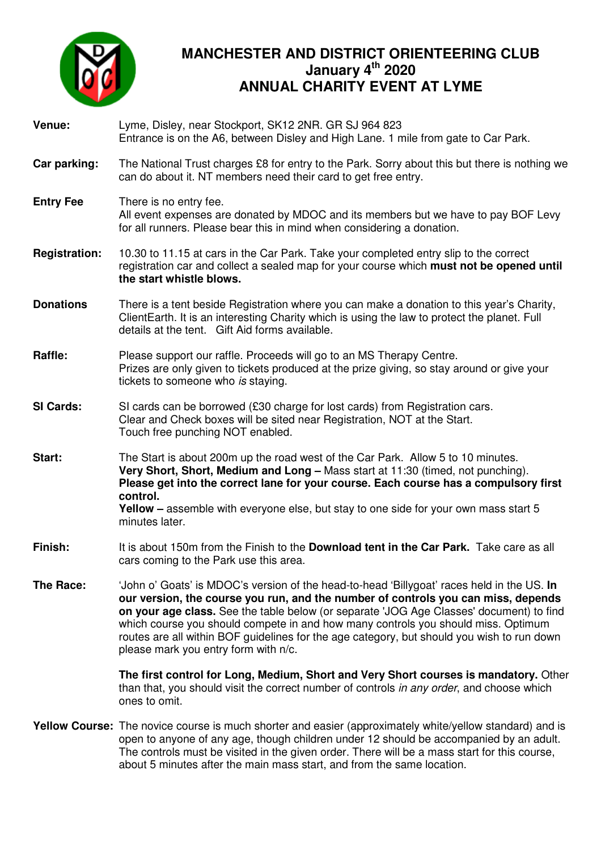

## **MANCHESTER AND DISTRICT ORIENTEERING CLUB January 4th 2020 ANNUAL CHARITY EVENT AT LYME**

| Venue:               | Lyme, Disley, near Stockport, SK12 2NR. GR SJ 964 823<br>Entrance is on the A6, between Disley and High Lane. 1 mile from gate to Car Park.                                                                                                                                                                                                                                                                                                                                                           |  |
|----------------------|-------------------------------------------------------------------------------------------------------------------------------------------------------------------------------------------------------------------------------------------------------------------------------------------------------------------------------------------------------------------------------------------------------------------------------------------------------------------------------------------------------|--|
| Car parking:         | The National Trust charges £8 for entry to the Park. Sorry about this but there is nothing we<br>can do about it. NT members need their card to get free entry.                                                                                                                                                                                                                                                                                                                                       |  |
| <b>Entry Fee</b>     | There is no entry fee.<br>All event expenses are donated by MDOC and its members but we have to pay BOF Levy<br>for all runners. Please bear this in mind when considering a donation.                                                                                                                                                                                                                                                                                                                |  |
| <b>Registration:</b> | 10.30 to 11.15 at cars in the Car Park. Take your completed entry slip to the correct<br>registration car and collect a sealed map for your course which must not be opened until<br>the start whistle blows.                                                                                                                                                                                                                                                                                         |  |
| <b>Donations</b>     | There is a tent beside Registration where you can make a donation to this year's Charity,<br>ClientEarth. It is an interesting Charity which is using the law to protect the planet. Full<br>details at the tent. Gift Aid forms available.                                                                                                                                                                                                                                                           |  |
| Raffle:              | Please support our raffle. Proceeds will go to an MS Therapy Centre.<br>Prizes are only given to tickets produced at the prize giving, so stay around or give your<br>tickets to someone who is staying.                                                                                                                                                                                                                                                                                              |  |
| <b>SI Cards:</b>     | SI cards can be borrowed (£30 charge for lost cards) from Registration cars.<br>Clear and Check boxes will be sited near Registration, NOT at the Start.<br>Touch free punching NOT enabled.                                                                                                                                                                                                                                                                                                          |  |
| Start:               | The Start is about 200m up the road west of the Car Park. Allow 5 to 10 minutes.<br>Very Short, Short, Medium and Long - Mass start at 11:30 (timed, not punching).<br>Please get into the correct lane for your course. Each course has a compulsory first<br>control.<br><b>Yellow</b> – assemble with everyone else, but stay to one side for your own mass start 5<br>minutes later.                                                                                                              |  |
| Finish:              | It is about 150m from the Finish to the <b>Download tent in the Car Park.</b> Take care as all<br>cars coming to the Park use this area.                                                                                                                                                                                                                                                                                                                                                              |  |
| The Race:            | 'John o' Goats' is MDOC's version of the head-to-head 'Billygoat' races held in the US. In<br>our version, the course you run, and the number of controls you can miss, depends<br>on your age class. See the table below (or separate 'JOG Age Classes' document) to find<br>which course you should compete in and how many controls you should miss. Optimum<br>routes are all within BOF guidelines for the age category, but should you wish to run down<br>please mark you entry form with n/c. |  |
|                      | The first control for Long, Medium, Short and Very Short courses is mandatory. Other<br>than that, you should visit the correct number of controls in any order, and choose which<br>ones to omit.                                                                                                                                                                                                                                                                                                    |  |
|                      | Yellow Course: The novice course is much shorter and easier (approximately white/yellow standard) and is<br>open to anyone of any age, though children under 12 should be accompanied by an adult.                                                                                                                                                                                                                                                                                                    |  |

The controls must be visited in the given order. There will be a mass start for this course, about 5 minutes after the main mass start, and from the same location.